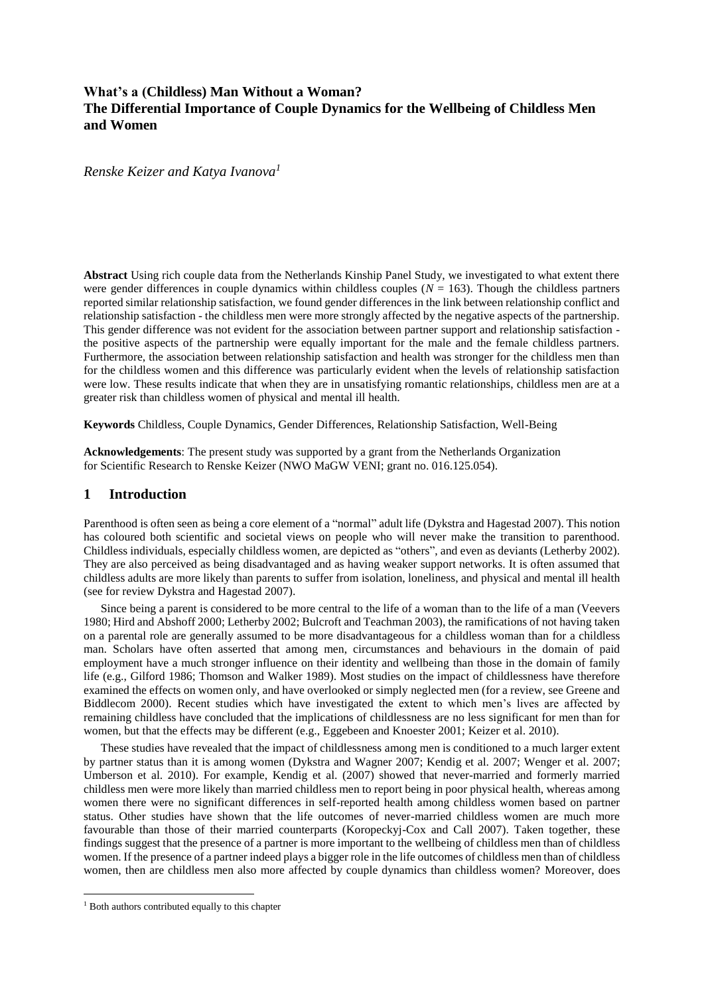# **What's a (Childless) Man Without a Woman? The Differential Importance of Couple Dynamics for the Wellbeing of Childless Men and Women**

*Renske Keizer and Katya Ivanova<sup>1</sup>*

**Abstract** Using rich couple data from the Netherlands Kinship Panel Study, we investigated to what extent there were gender differences in couple dynamics within childless couples ( $N = 163$ ). Though the childless partners reported similar relationship satisfaction, we found gender differences in the link between relationship conflict and relationship satisfaction - the childless men were more strongly affected by the negative aspects of the partnership. This gender difference was not evident for the association between partner support and relationship satisfaction the positive aspects of the partnership were equally important for the male and the female childless partners. Furthermore, the association between relationship satisfaction and health was stronger for the childless men than for the childless women and this difference was particularly evident when the levels of relationship satisfaction were low. These results indicate that when they are in unsatisfying romantic relationships, childless men are at a greater risk than childless women of physical and mental ill health.

**Keywords** Childless, Couple Dynamics, Gender Differences, Relationship Satisfaction, Well-Being

**Acknowledgements**: The present study was supported by a grant from the Netherlands Organization for Scientific Research to Renske Keizer (NWO MaGW VENI; grant no. 016.125.054).

### **1 Introduction**

Parenthood is often seen as being a core element of a "normal" adult life (Dykstra and Hagestad 2007). This notion has coloured both scientific and societal views on people who will never make the transition to parenthood. Childless individuals, especially childless women, are depicted as "others", and even as deviants (Letherby 2002). They are also perceived as being disadvantaged and as having weaker support networks. It is often assumed that childless adults are more likely than parents to suffer from isolation, loneliness, and physical and mental ill health (see for review Dykstra and Hagestad 2007).

Since being a parent is considered to be more central to the life of a woman than to the life of a man (Veevers 1980; Hird and Abshoff 2000; Letherby 2002; Bulcroft and Teachman 2003), the ramifications of not having taken on a parental role are generally assumed to be more disadvantageous for a childless woman than for a childless man. Scholars have often asserted that among men, circumstances and behaviours in the domain of paid employment have a much stronger influence on their identity and wellbeing than those in the domain of family life (e.g., Gilford 1986; Thomson and Walker 1989). Most studies on the impact of childlessness have therefore examined the effects on women only, and have overlooked or simply neglected men (for a review, see Greene and Biddlecom 2000). Recent studies which have investigated the extent to which men's lives are affected by remaining childless have concluded that the implications of childlessness are no less significant for men than for women, but that the effects may be different (e.g., Eggebeen and Knoester 2001; Keizer et al. 2010).

These studies have revealed that the impact of childlessness among men is conditioned to a much larger extent by partner status than it is among women (Dykstra and Wagner 2007; Kendig et al. 2007; Wenger et al. 2007; Umberson et al. 2010). For example, Kendig et al. (2007) showed that never-married and formerly married childless men were more likely than married childless men to report being in poor physical health, whereas among women there were no significant differences in self-reported health among childless women based on partner status. Other studies have shown that the life outcomes of never-married childless women are much more favourable than those of their married counterparts (Koropeckyj-Cox and Call 2007). Taken together, these findings suggest that the presence of a partner is more important to the wellbeing of childless men than of childless women. If the presence of a partner indeed plays a bigger role in the life outcomes of childless men than of childless women, then are childless men also more affected by couple dynamics than childless women? Moreover, does

1

<sup>&</sup>lt;sup>1</sup> Both authors contributed equally to this chapter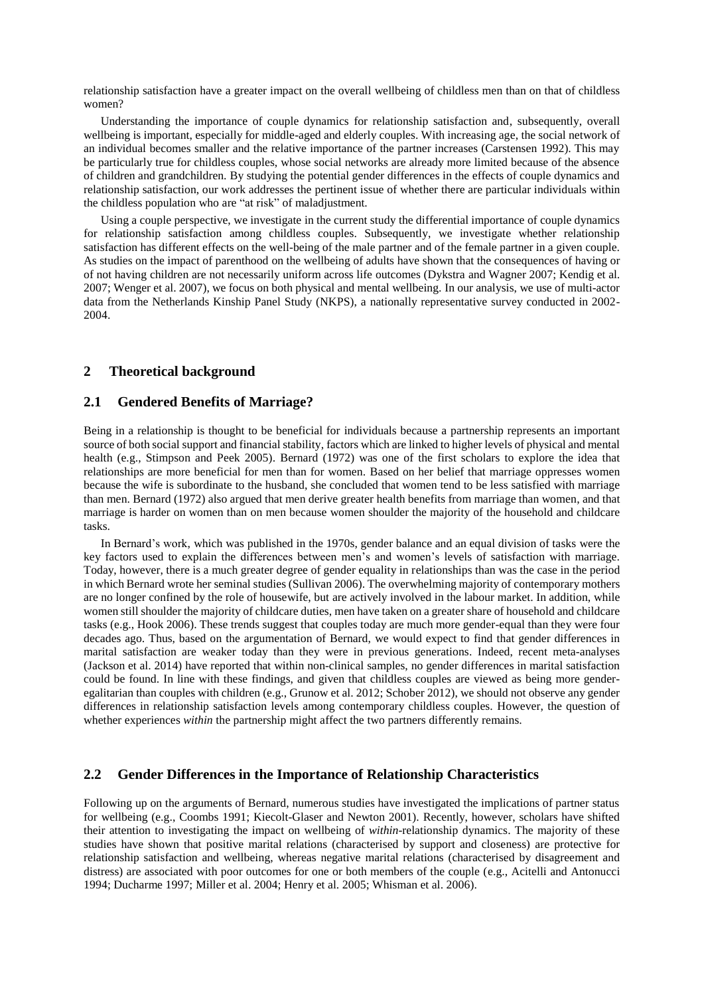relationship satisfaction have a greater impact on the overall wellbeing of childless men than on that of childless women?

Understanding the importance of couple dynamics for relationship satisfaction and, subsequently, overall wellbeing is important, especially for middle-aged and elderly couples. With increasing age, the social network of an individual becomes smaller and the relative importance of the partner increases (Carstensen 1992). This may be particularly true for childless couples, whose social networks are already more limited because of the absence of children and grandchildren. By studying the potential gender differences in the effects of couple dynamics and relationship satisfaction, our work addresses the pertinent issue of whether there are particular individuals within the childless population who are "at risk" of maladjustment.

Using a couple perspective, we investigate in the current study the differential importance of couple dynamics for relationship satisfaction among childless couples. Subsequently, we investigate whether relationship satisfaction has different effects on the well-being of the male partner and of the female partner in a given couple. As studies on the impact of parenthood on the wellbeing of adults have shown that the consequences of having or of not having children are not necessarily uniform across life outcomes (Dykstra and Wagner 2007; Kendig et al. 2007; Wenger et al. 2007), we focus on both physical and mental wellbeing. In our analysis, we use of multi-actor data from the Netherlands Kinship Panel Study (NKPS), a nationally representative survey conducted in 2002- 2004.

### **2 Theoretical background**

### **2.1 Gendered Benefits of Marriage?**

Being in a relationship is thought to be beneficial for individuals because a partnership represents an important source of both social support and financial stability, factors which are linked to higher levels of physical and mental health (e.g., Stimpson and Peek 2005). Bernard (1972) was one of the first scholars to explore the idea that relationships are more beneficial for men than for women. Based on her belief that marriage oppresses women because the wife is subordinate to the husband, she concluded that women tend to be less satisfied with marriage than men. Bernard (1972) also argued that men derive greater health benefits from marriage than women, and that marriage is harder on women than on men because women shoulder the majority of the household and childcare tasks.

In Bernard's work, which was published in the 1970s, gender balance and an equal division of tasks were the key factors used to explain the differences between men's and women's levels of satisfaction with marriage. Today, however, there is a much greater degree of gender equality in relationships than was the case in the period in which Bernard wrote her seminal studies (Sullivan 2006). The overwhelming majority of contemporary mothers are no longer confined by the role of housewife, but are actively involved in the labour market. In addition, while women still shoulder the majority of childcare duties, men have taken on a greater share of household and childcare tasks (e.g., Hook 2006). These trends suggest that couples today are much more gender-equal than they were four decades ago. Thus, based on the argumentation of Bernard, we would expect to find that gender differences in marital satisfaction are weaker today than they were in previous generations. Indeed, recent meta-analyses (Jackson et al. 2014) have reported that within non-clinical samples, no gender differences in marital satisfaction could be found. In line with these findings, and given that childless couples are viewed as being more genderegalitarian than couples with children (e.g., Grunow et al. 2012; Schober 2012), we should not observe any gender differences in relationship satisfaction levels among contemporary childless couples. However, the question of whether experiences *within* the partnership might affect the two partners differently remains.

### **2.2 Gender Differences in the Importance of Relationship Characteristics**

Following up on the arguments of Bernard, numerous studies have investigated the implications of partner status for wellbeing (e.g., Coombs 1991; Kiecolt-Glaser and Newton 2001). Recently, however, scholars have shifted their attention to investigating the impact on wellbeing of *within*-relationship dynamics. The majority of these studies have shown that positive marital relations (characterised by support and closeness) are protective for relationship satisfaction and wellbeing, whereas negative marital relations (characterised by disagreement and distress) are associated with poor outcomes for one or both members of the couple (e.g., Acitelli and Antonucci 1994; Ducharme 1997; Miller et al. 2004; Henry et al. 2005; Whisman et al. 2006).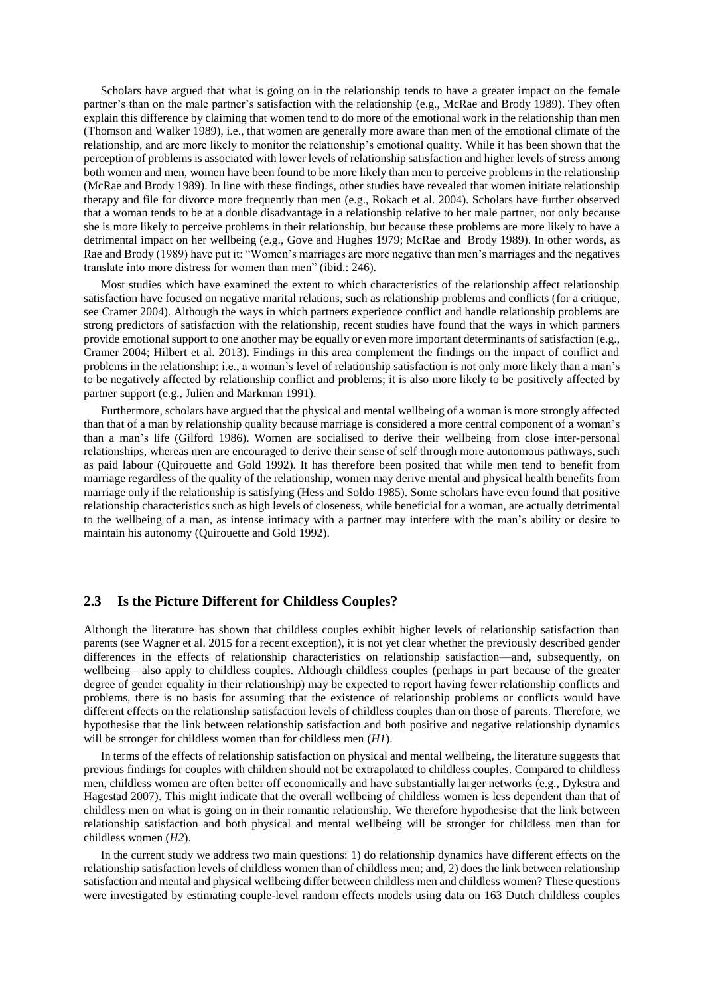Scholars have argued that what is going on in the relationship tends to have a greater impact on the female partner's than on the male partner's satisfaction with the relationship (e.g., McRae and Brody 1989). They often explain this difference by claiming that women tend to do more of the emotional work in the relationship than men (Thomson and Walker 1989), i.e., that women are generally more aware than men of the emotional climate of the relationship, and are more likely to monitor the relationship's emotional quality. While it has been shown that the perception of problems is associated with lower levels of relationship satisfaction and higher levels of stress among both women and men, women have been found to be more likely than men to perceive problems in the relationship (McRae and Brody 1989). In line with these findings, other studies have revealed that women initiate relationship therapy and file for divorce more frequently than men (e.g., Rokach et al. 2004). Scholars have further observed that a woman tends to be at a double disadvantage in a relationship relative to her male partner, not only because she is more likely to perceive problems in their relationship, but because these problems are more likely to have a detrimental impact on her wellbeing (e.g., Gove and Hughes 1979; McRae and Brody 1989). In other words, as Rae and Brody (1989) have put it: "Women's marriages are more negative than men's marriages and the negatives translate into more distress for women than men" (ibid.: 246).

Most studies which have examined the extent to which characteristics of the relationship affect relationship satisfaction have focused on negative marital relations, such as relationship problems and conflicts (for a critique, see Cramer 2004). Although the ways in which partners experience conflict and handle relationship problems are strong predictors of satisfaction with the relationship, recent studies have found that the ways in which partners provide emotional support to one another may be equally or even more important determinants of satisfaction (e.g., Cramer 2004; Hilbert et al. 2013). Findings in this area complement the findings on the impact of conflict and problems in the relationship: i.e., a woman's level of relationship satisfaction is not only more likely than a man's to be negatively affected by relationship conflict and problems; it is also more likely to be positively affected by partner support (e.g., Julien and Markman 1991).

Furthermore, scholars have argued that the physical and mental wellbeing of a woman is more strongly affected than that of a man by relationship quality because marriage is considered a more central component of a woman's than a man's life (Gilford 1986). Women are socialised to derive their wellbeing from close inter-personal relationships, whereas men are encouraged to derive their sense of self through more autonomous pathways, such as paid labour (Quirouette and Gold 1992). It has therefore been posited that while men tend to benefit from marriage regardless of the quality of the relationship, women may derive mental and physical health benefits from marriage only if the relationship is satisfying (Hess and Soldo 1985). Some scholars have even found that positive relationship characteristics such as high levels of closeness, while beneficial for a woman, are actually detrimental to the wellbeing of a man, as intense intimacy with a partner may interfere with the man's ability or desire to maintain his autonomy (Quirouette and Gold 1992).

### **2.3 Is the Picture Different for Childless Couples?**

Although the literature has shown that childless couples exhibit higher levels of relationship satisfaction than parents (see Wagner et al. 2015 for a recent exception), it is not yet clear whether the previously described gender differences in the effects of relationship characteristics on relationship satisfaction—and, subsequently, on wellbeing—also apply to childless couples. Although childless couples (perhaps in part because of the greater degree of gender equality in their relationship) may be expected to report having fewer relationship conflicts and problems, there is no basis for assuming that the existence of relationship problems or conflicts would have different effects on the relationship satisfaction levels of childless couples than on those of parents. Therefore, we hypothesise that the link between relationship satisfaction and both positive and negative relationship dynamics will be stronger for childless women than for childless men (*H1*).

In terms of the effects of relationship satisfaction on physical and mental wellbeing, the literature suggests that previous findings for couples with children should not be extrapolated to childless couples. Compared to childless men, childless women are often better off economically and have substantially larger networks (e.g., Dykstra and Hagestad 2007). This might indicate that the overall wellbeing of childless women is less dependent than that of childless men on what is going on in their romantic relationship. We therefore hypothesise that the link between relationship satisfaction and both physical and mental wellbeing will be stronger for childless men than for childless women (*H2*).

In the current study we address two main questions: 1) do relationship dynamics have different effects on the relationship satisfaction levels of childless women than of childless men; and, 2) does the link between relationship satisfaction and mental and physical wellbeing differ between childless men and childless women? These questions were investigated by estimating couple-level random effects models using data on 163 Dutch childless couples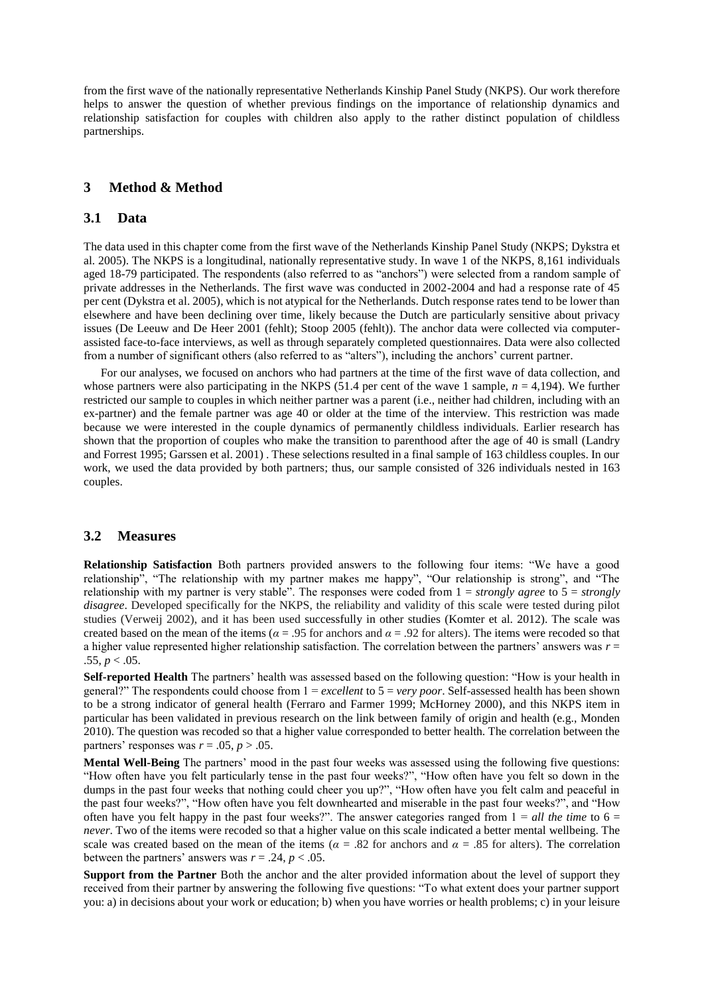from the first wave of the nationally representative Netherlands Kinship Panel Study (NKPS). Our work therefore helps to answer the question of whether previous findings on the importance of relationship dynamics and relationship satisfaction for couples with children also apply to the rather distinct population of childless partnerships.

## **3 Method & Method**

#### **3.1 Data**

The data used in this chapter come from the first wave of the Netherlands Kinship Panel Study (NKPS; Dykstra et al. 2005). The NKPS is a longitudinal, nationally representative study. In wave 1 of the NKPS, 8,161 individuals aged 18-79 participated. The respondents (also referred to as "anchors") were selected from a random sample of private addresses in the Netherlands. The first wave was conducted in 2002-2004 and had a response rate of 45 per cent (Dykstra et al. 2005), which is not atypical for the Netherlands. Dutch response rates tend to be lower than elsewhere and have been declining over time, likely because the Dutch are particularly sensitive about privacy issues (De Leeuw and De Heer 2001 (fehlt); Stoop 2005 (fehlt)). The anchor data were collected via computerassisted face-to-face interviews, as well as through separately completed questionnaires. Data were also collected from a number of significant others (also referred to as "alters"), including the anchors' current partner.

For our analyses, we focused on anchors who had partners at the time of the first wave of data collection, and whose partners were also participating in the NKPS (51.4 per cent of the wave 1 sample,  $n = 4,194$ ). We further restricted our sample to couples in which neither partner was a parent (i.e., neither had children, including with an ex-partner) and the female partner was age 40 or older at the time of the interview. This restriction was made because we were interested in the couple dynamics of permanently childless individuals. Earlier research has shown that the proportion of couples who make the transition to parenthood after the age of 40 is small (Landry and Forrest 1995; Garssen et al. 2001) . These selections resulted in a final sample of 163 childless couples. In our work, we used the data provided by both partners; thus, our sample consisted of 326 individuals nested in 163 couples.

#### **3.2 Measures**

**Relationship Satisfaction** Both partners provided answers to the following four items: "We have a good relationship", "The relationship with my partner makes me happy", "Our relationship is strong", and "The relationship with my partner is very stable". The responses were coded from 1 = *strongly agree* to 5 = *strongly disagree*. Developed specifically for the NKPS, the reliability and validity of this scale were tested during pilot studies (Verweij 2002), and it has been used successfully in other studies (Komter et al. 2012). The scale was created based on the mean of the items ( $\alpha$  = .95 for anchors and  $\alpha$  = .92 for alters). The items were recoded so that a higher value represented higher relationship satisfaction. The correlation between the partners' answers was *r* =  $.55, p < .05.$ 

**Self-reported Health** The partners' health was assessed based on the following question: "How is your health in general?" The respondents could choose from 1 = *excellent* to 5 = *very poor*. Self-assessed health has been shown to be a strong indicator of general health (Ferraro and Farmer 1999; McHorney 2000), and this NKPS item in particular has been validated in previous research on the link between family of origin and health (e.g., Monden 2010). The question was recoded so that a higher value corresponded to better health. The correlation between the partners' responses was  $r = .05$ ,  $p > .05$ .

**Mental Well-Being** The partners' mood in the past four weeks was assessed using the following five questions: "How often have you felt particularly tense in the past four weeks?", "How often have you felt so down in the dumps in the past four weeks that nothing could cheer you up?", "How often have you felt calm and peaceful in the past four weeks?", "How often have you felt downhearted and miserable in the past four weeks?", and "How often have you felt happy in the past four weeks?". The answer categories ranged from 1 = *all the time* to 6 = *never*. Two of the items were recoded so that a higher value on this scale indicated a better mental wellbeing. The scale was created based on the mean of the items ( $\alpha = .82$  for anchors and  $\alpha = .85$  for alters). The correlation between the partners' answers was  $r = .24$ ,  $p < .05$ .

**Support from the Partner** Both the anchor and the alter provided information about the level of support they received from their partner by answering the following five questions: "To what extent does your partner support you: a) in decisions about your work or education; b) when you have worries or health problems; c) in your leisure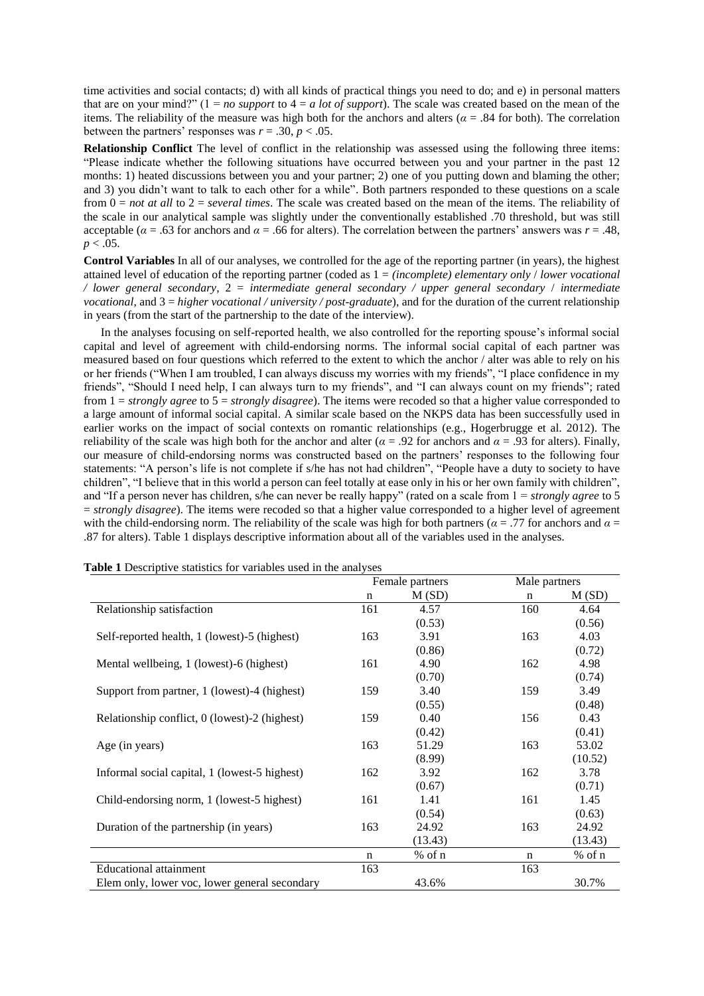time activities and social contacts; d) with all kinds of practical things you need to do; and e) in personal matters that are on your mind?"  $(1 = no support to 4 = a lot of support)$ . The scale was created based on the mean of the items. The reliability of the measure was high both for the anchors and alters ( $\alpha$  = .84 for both). The correlation between the partners' responses was  $r = .30$ ,  $p < .05$ .

**Relationship Conflict** The level of conflict in the relationship was assessed using the following three items: "Please indicate whether the following situations have occurred between you and your partner in the past 12 months: 1) heated discussions between you and your partner; 2) one of you putting down and blaming the other; and 3) you didn't want to talk to each other for a while". Both partners responded to these questions on a scale from 0 = *not at all* to 2 = *several times*. The scale was created based on the mean of the items. The reliability of the scale in our analytical sample was slightly under the conventionally established .70 threshold, but was still acceptable ( $\alpha$  = .63 for anchors and  $\alpha$  = .66 for alters). The correlation between the partners' answers was  $r = .48$ ,  $p < .05$ .

**Control Variables** In all of our analyses, we controlled for the age of the reporting partner (in years), the highest attained level of education of the reporting partner (coded as 1 = *(incomplete) elementary only* / *lower vocational / lower general secondary*, 2 = *intermediate general secondary / upper general secondary* / *intermediate vocational*, and 3 = *higher vocational / university / post-graduate*), and for the duration of the current relationship in years (from the start of the partnership to the date of the interview).

In the analyses focusing on self-reported health, we also controlled for the reporting spouse's informal social capital and level of agreement with child-endorsing norms. The informal social capital of each partner was measured based on four questions which referred to the extent to which the anchor / alter was able to rely on his or her friends ("When I am troubled, I can always discuss my worries with my friends", "I place confidence in my friends", "Should I need help, I can always turn to my friends", and "I can always count on my friends"; rated from 1 = *strongly agree* to 5 = *strongly disagree*). The items were recoded so that a higher value corresponded to a large amount of informal social capital. A similar scale based on the NKPS data has been successfully used in earlier works on the impact of social contexts on romantic relationships (e.g., Hogerbrugge et al. 2012). The reliability of the scale was high both for the anchor and alter ( $\alpha = .92$  for anchors and  $\alpha = .93$  for alters). Finally, our measure of child-endorsing norms was constructed based on the partners' responses to the following four statements: "A person's life is not complete if s/he has not had children", "People have a duty to society to have children", "I believe that in this world a person can feel totally at ease only in his or her own family with children", and "If a person never has children, s/he can never be really happy" (rated on a scale from 1 = *strongly agree* to 5 = *strongly disagree*). The items were recoded so that a higher value corresponded to a higher level of agreement with the child-endorsing norm. The reliability of the scale was high for both partners (*α* = .77 for anchors and *α* = .87 for alters). Table 1 displays descriptive information about all of the variables used in the analyses.

|                                               |             | Female partners | Male partners |          |  |
|-----------------------------------------------|-------------|-----------------|---------------|----------|--|
|                                               | $\mathbf n$ | M(SD)           | $\mathbf n$   | M(SD)    |  |
| Relationship satisfaction                     | 161         | 4.57            | 160           | 4.64     |  |
|                                               |             | (0.53)          |               | (0.56)   |  |
| Self-reported health, 1 (lowest)-5 (highest)  | 163         | 3.91            | 163           | 4.03     |  |
|                                               |             | (0.86)          |               | (0.72)   |  |
| Mental wellbeing, 1 (lowest)-6 (highest)      | 161         | 4.90            | 162           | 4.98     |  |
|                                               |             | (0.70)          |               | (0.74)   |  |
| Support from partner, 1 (lowest)-4 (highest)  | 159         | 3.40            | 159           | 3.49     |  |
|                                               |             | (0.55)          |               | (0.48)   |  |
| Relationship conflict, 0 (lowest)-2 (highest) | 159         | 0.40            | 156           | 0.43     |  |
|                                               |             | (0.42)          |               | (0.41)   |  |
| Age (in years)                                | 163         | 51.29           | 163           | 53.02    |  |
|                                               |             | (8.99)          |               | (10.52)  |  |
| Informal social capital, 1 (lowest-5 highest) | 162         | 3.92            | 162           | 3.78     |  |
|                                               |             | (0.67)          |               | (0.71)   |  |
| Child-endorsing norm, 1 (lowest-5 highest)    | 161         | 1.41            | 161           | 1.45     |  |
|                                               |             | (0.54)          |               | (0.63)   |  |
| Duration of the partnership (in years)        | 163         | 24.92           | 163           | 24.92    |  |
|                                               |             | (13.43)         |               | (13.43)  |  |
|                                               | $\mathbf n$ | $%$ of n        | $\mathbf n$   | $%$ of n |  |
| <b>Educational attainment</b>                 | 163         |                 | 163           |          |  |
| Elem only, lower voc, lower general secondary |             | 43.6%           |               | 30.7%    |  |

**Table 1** Descriptive statistics for variables used in the analyses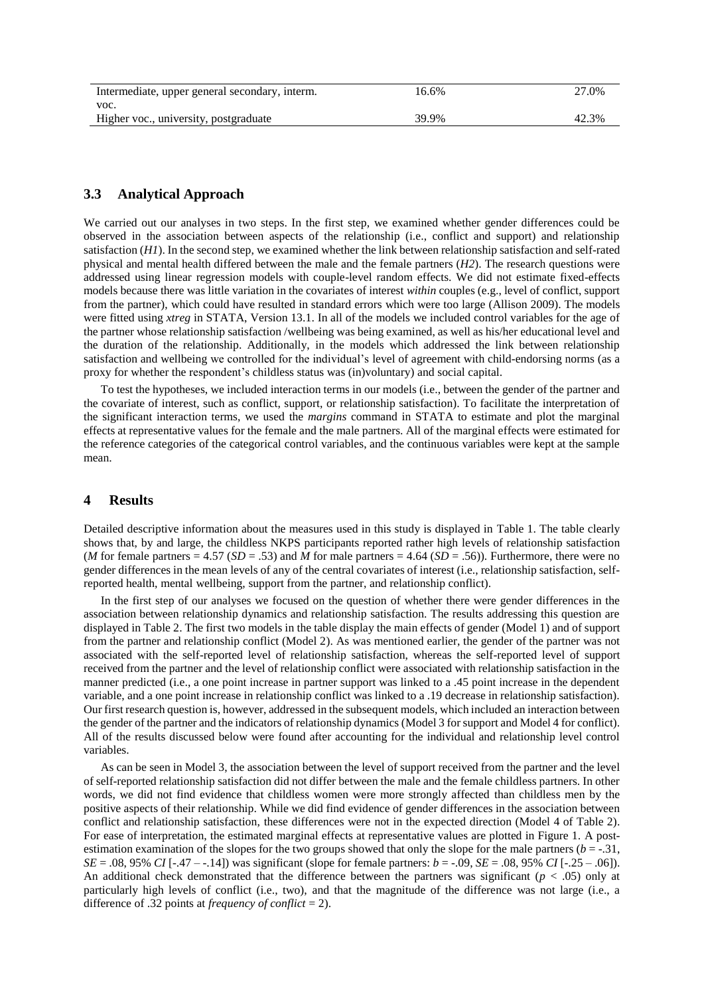| Intermediate, upper general secondary, interm. | 16.6% | 27.0% |
|------------------------------------------------|-------|-------|
| voc.                                           |       |       |
| Higher voc., university, postgraduate          | 39.9% | 42.3% |

## **3.3 Analytical Approach**

We carried out our analyses in two steps. In the first step, we examined whether gender differences could be observed in the association between aspects of the relationship (i.e., conflict and support) and relationship satisfaction  $(H)$ . In the second step, we examined whether the link between relationship satisfaction and self-rated physical and mental health differed between the male and the female partners (*H2*). The research questions were addressed using linear regression models with couple-level random effects. We did not estimate fixed-effects models because there was little variation in the covariates of interest *within* couples (e.g., level of conflict, support from the partner), which could have resulted in standard errors which were too large (Allison 2009). The models were fitted using *xtreg* in STATA, Version 13.1. In all of the models we included control variables for the age of the partner whose relationship satisfaction /wellbeing was being examined, as well as his/her educational level and the duration of the relationship. Additionally, in the models which addressed the link between relationship satisfaction and wellbeing we controlled for the individual's level of agreement with child-endorsing norms (as a proxy for whether the respondent's childless status was (in)voluntary) and social capital.

To test the hypotheses, we included interaction terms in our models (i.e., between the gender of the partner and the covariate of interest, such as conflict, support, or relationship satisfaction). To facilitate the interpretation of the significant interaction terms, we used the *margins* command in STATA to estimate and plot the marginal effects at representative values for the female and the male partners. All of the marginal effects were estimated for the reference categories of the categorical control variables, and the continuous variables were kept at the sample mean.

#### **4 Results**

Detailed descriptive information about the measures used in this study is displayed in Table 1. The table clearly shows that, by and large, the childless NKPS participants reported rather high levels of relationship satisfaction (*M* for female partners = 4.57 (*SD* = .53) and *M* for male partners = 4.64 (*SD* = .56)). Furthermore, there were no gender differences in the mean levels of any of the central covariates of interest (i.e., relationship satisfaction, selfreported health, mental wellbeing, support from the partner, and relationship conflict).

In the first step of our analyses we focused on the question of whether there were gender differences in the association between relationship dynamics and relationship satisfaction. The results addressing this question are displayed in Table 2. The first two models in the table display the main effects of gender (Model 1) and of support from the partner and relationship conflict (Model 2). As was mentioned earlier, the gender of the partner was not associated with the self-reported level of relationship satisfaction, whereas the self-reported level of support received from the partner and the level of relationship conflict were associated with relationship satisfaction in the manner predicted (i.e., a one point increase in partner support was linked to a .45 point increase in the dependent variable, and a one point increase in relationship conflict was linked to a .19 decrease in relationship satisfaction). Our first research question is, however, addressed in the subsequent models, which included an interaction between the gender of the partner and the indicators of relationship dynamics (Model 3 for support and Model 4 for conflict). All of the results discussed below were found after accounting for the individual and relationship level control variables.

As can be seen in Model 3, the association between the level of support received from the partner and the level of self-reported relationship satisfaction did not differ between the male and the female childless partners. In other words, we did not find evidence that childless women were more strongly affected than childless men by the positive aspects of their relationship. While we did find evidence of gender differences in the association between conflict and relationship satisfaction, these differences were not in the expected direction (Model 4 of Table 2). For ease of interpretation, the estimated marginal effects at representative values are plotted in Figure 1. A postestimation examination of the slopes for the two groups showed that only the slope for the male partners  $(b = -31,$ *SE* =  $.08, 95\%$  *CI* [ $-47 - (-14)$ ] was significant (slope for female partners: *b* =  $-0.09$ , *SE* =  $.08, 95\%$  *CI* [ $-25 - (06)$ ]. An additional check demonstrated that the difference between the partners was significant ( $p < .05$ ) only at particularly high levels of conflict (i.e., two), and that the magnitude of the difference was not large (i.e., a difference of .32 points at *frequency of conflict* = 2).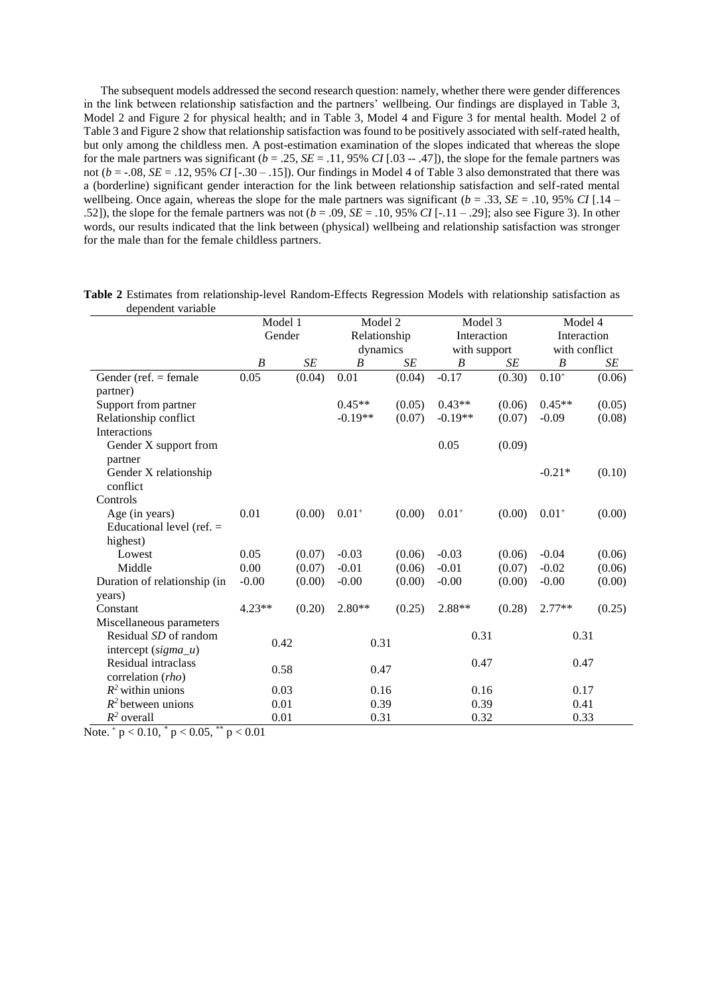The subsequent models addressed the second research question: namely, whether there were gender differences in the link between relationship satisfaction and the partners' wellbeing. Our findings are displayed in Table 3, Model 2 and Figure 2 for physical health; and in Table 3, Model 4 and Figure 3 for mental health. Model 2 of Table 3 and Figure 2 show that relationship satisfaction was found to be positively associated with self-rated health, but only among the childless men. A post-estimation examination of the slopes indicated that whereas the slope for the male partners was significant  $(b = .25, SE = .11, 95\% \text{ CI}$  [.03 -- .47]), the slope for the female partners was not  $(b = -0.08, SE = .12, 95\% \text{ CI} [-.30 - .15])$ . Our findings in Model 4 of Table 3 also demonstrated that there was a (borderline) significant gender interaction for the link between relationship satisfaction and self-rated mental wellbeing. Once again, whereas the slope for the male partners was significant (*b* = .33, *SE* = .10, 95% *CI* [.14 – .52]), the slope for the female partners was not  $(b = .09, SE = .10, 95\% \text{ CI} [-.11 - .29]$ ; also see Figure 3). In other words, our results indicated that the link between (physical) wellbeing and relationship satisfaction was stronger for the male than for the female childless partners.

|                                  | Model 1  |              | Model 2      |        | Model 3          |        | Model 4       |        |
|----------------------------------|----------|--------------|--------------|--------|------------------|--------|---------------|--------|
|                                  | Gender   |              | Relationship |        | Interaction      |        | Interaction   |        |
|                                  |          |              | dynamics     |        | with support     |        | with conflict |        |
|                                  | B        | SE           | B            | SE     | $\boldsymbol{B}$ | SE     | B             | SE     |
| Gender (ref. $=$ female          | 0.05     | (0.04)       | 0.01         | (0.04) | $-0.17$          | (0.30) | $0.10^{+}$    | (0.06) |
| partner)                         |          |              |              |        |                  |        |               |        |
| Support from partner             |          |              | $0.45**$     | (0.05) | $0.43**$         | (0.06) | $0.45**$      | (0.05) |
| Relationship conflict            |          |              | $-0.19**$    | (0.07) | $-0.19**$        | (0.07) | $-0.09$       | (0.08) |
| <b>Interactions</b>              |          |              |              |        |                  |        |               |        |
| Gender X support from<br>partner |          |              |              |        | 0.05             | (0.09) |               |        |
| Gender X relationship            |          |              |              |        |                  |        | $-0.21*$      | (0.10) |
| conflict                         |          |              |              |        |                  |        |               |        |
| Controls                         |          |              |              |        |                  |        |               |        |
| Age (in years)                   | 0.01     | (0.00)       | $0.01^{+}$   | (0.00) | $0.01^{+}$       | (0.00) | $0.01^{+}$    | (0.00) |
| Educational level (ref. $=$      |          |              |              |        |                  |        |               |        |
| highest)                         |          |              |              |        |                  |        |               |        |
| Lowest                           | 0.05     | (0.07)       | $-0.03$      | (0.06) | $-0.03$          | (0.06) | $-0.04$       | (0.06) |
| Middle                           | 0.00     | (0.07)       | $-0.01$      | (0.06) | $-0.01$          | (0.07) | $-0.02$       | (0.06) |
| Duration of relationship (in     | $-0.00$  | (0.00)       | $-0.00$      | (0.00) | $-0.00$          | (0.00) | $-0.00$       | (0.00) |
| years)                           |          |              |              |        |                  |        |               |        |
| Constant                         | $4.23**$ | (0.20)       | 2.80**       | (0.25) | 2.88**           | (0.28) | $2.77**$      | (0.25) |
| Miscellaneous parameters         |          |              |              |        |                  |        |               |        |
| Residual SD of random            | 0.42     |              | 0.31         |        | 0.31             |        | 0.31          |        |
| intercept $(sigma_u)$            |          |              |              |        |                  |        |               |        |
| Residual intraclass              |          |              |              |        | 0.47             |        | 0.47          |        |
| correlation (rho)                | 0.58     |              | 0.47         |        |                  |        |               |        |
| $R^2$ within unions              |          | 0.03<br>0.16 |              | 0.16   |                  | 0.17   |               |        |
| $R^2$ between unions             | 0.01     |              | 0.39         |        | 0.39             |        | 0.41          |        |
| $R^2$ overall                    | 0.01     |              | 0.31         |        | 0.32             |        | 0.33          |        |

**Table 2** Estimates from relationship-level Random-Effects Regression Models with relationship satisfaction as dependent variable

Note.  $+ p < 0.10, \pm p < 0.05, \pm p < 0.01$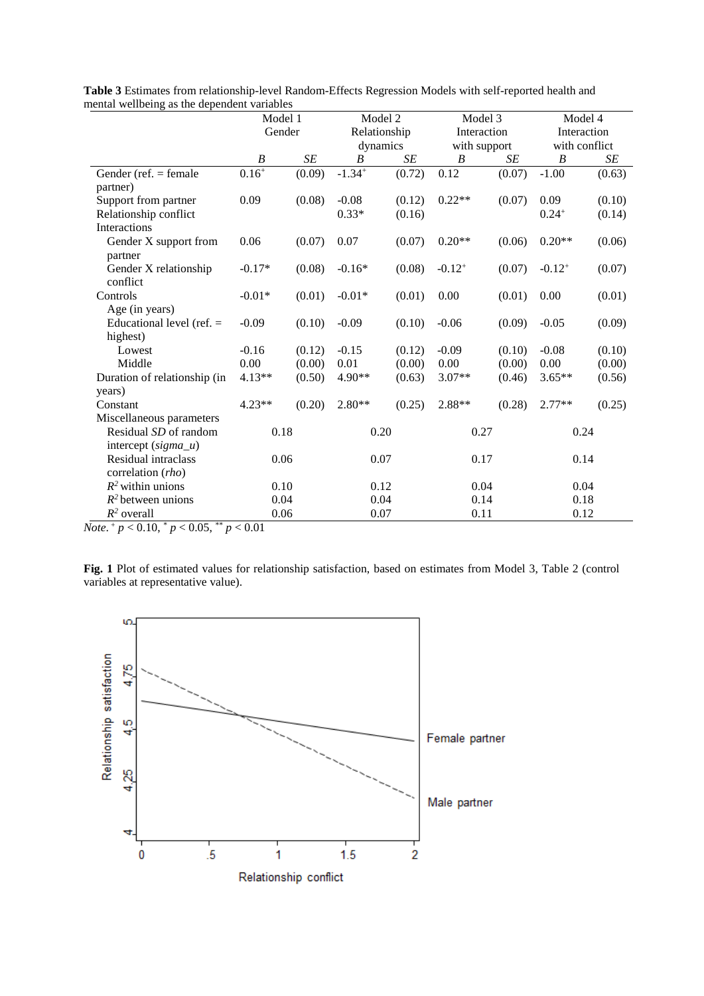| $\omega$ and $\omega$        | Model 1                       |        | Model 2      |        | Model 3          |           | Model 4          |           |
|------------------------------|-------------------------------|--------|--------------|--------|------------------|-----------|------------------|-----------|
|                              | Gender                        |        | Relationship |        | Interaction      |           | Interaction      |           |
|                              |                               |        | dynamics     |        | with support     |           | with conflict    |           |
|                              | $\boldsymbol{B}$              | SE     | B            | SE     | $\boldsymbol{B}$ | $\cal SE$ | $\boldsymbol{B}$ | $\cal SE$ |
| Gender (ref. $=$ female      | $0.16^{\scriptscriptstyle +}$ | (0.09) | $-1.34+$     | (0.72) | 0.12             | (0.07)    | $-1.00$          | (0.63)    |
| partner)                     |                               |        |              |        |                  |           |                  |           |
| Support from partner         | 0.09                          | (0.08) | $-0.08$      | (0.12) | $0.22**$         | (0.07)    | 0.09             | (0.10)    |
| Relationship conflict        |                               |        | $0.33*$      | (0.16) |                  |           | $0.24^{+}$       | (0.14)    |
| <b>Interactions</b>          |                               |        |              |        |                  |           |                  |           |
| Gender X support from        | 0.06                          | (0.07) | 0.07         | (0.07) | $0.20**$         | (0.06)    | $0.20**$         | (0.06)    |
| partner                      |                               |        |              |        |                  |           |                  |           |
| Gender X relationship        | $-0.17*$                      | (0.08) | $-0.16*$     | (0.08) | $-0.12+$         | (0.07)    | $-0.12^{+}$      | (0.07)    |
| conflict                     |                               |        |              |        |                  |           |                  |           |
| Controls                     | $-0.01*$                      | (0.01) | $-0.01*$     | (0.01) | 0.00             | (0.01)    | 0.00             | (0.01)    |
| Age (in years)               |                               |        |              |        |                  |           |                  |           |
| Educational level (ref. $=$  | $-0.09$                       | (0.10) | $-0.09$      | (0.10) | $-0.06$          | (0.09)    | $-0.05$          | (0.09)    |
| highest)                     |                               |        |              |        |                  |           |                  |           |
| Lowest                       | $-0.16$                       | (0.12) | $-0.15$      | (0.12) | $-0.09$          | (0.10)    | $-0.08$          | (0.10)    |
| Middle                       | 0.00                          | (0.00) | 0.01         | (0.00) | 0.00             | (0.00)    | 0.00             | (0.00)    |
| Duration of relationship (in | $4.13**$                      | (0.50) | $4.90**$     | (0.63) | $3.07**$         | (0.46)    | $3.65**$         | (0.56)    |
| years)                       |                               |        |              |        |                  |           |                  |           |
| Constant                     | $4.23**$                      | (0.20) | $2.80**$     | (0.25) | 2.88**           | (0.28)    | $2.77**$         | (0.25)    |
| Miscellaneous parameters     |                               |        |              |        |                  |           |                  |           |
| Residual SD of random        | 0.18                          |        | 0.20         |        | 0.27             |           | 0.24             |           |
| intercept $(sigma_u)$        |                               |        |              |        |                  |           |                  |           |
| Residual intraclass          | 0.06                          |        | 0.07         |        | 0.17             |           | 0.14             |           |
| correlation (rho)            |                               |        |              |        |                  |           |                  |           |
| $R^2$ within unions          | 0.10                          |        | 0.12         |        | 0.04             |           | 0.04             |           |
| $R^2$ between unions         | 0.04                          |        | 0.04         |        | 0.14             |           | 0.18             |           |
| $R^2$ overall                | 0.06                          |        | 0.07         |        | 0.11             |           | 0.12             |           |

**Table 3** Estimates from relationship-level Random-Effects Regression Models with self-reported health and mental wellbeing as the dependent variables

*Note*. <sup>+</sup> *p* < 0.10, \* *p* < 0.05, \*\* *p* < 0.01

**Fig. 1** Plot of estimated values for relationship satisfaction, based on estimates from Model 3, Table 2 (control variables at representative value).

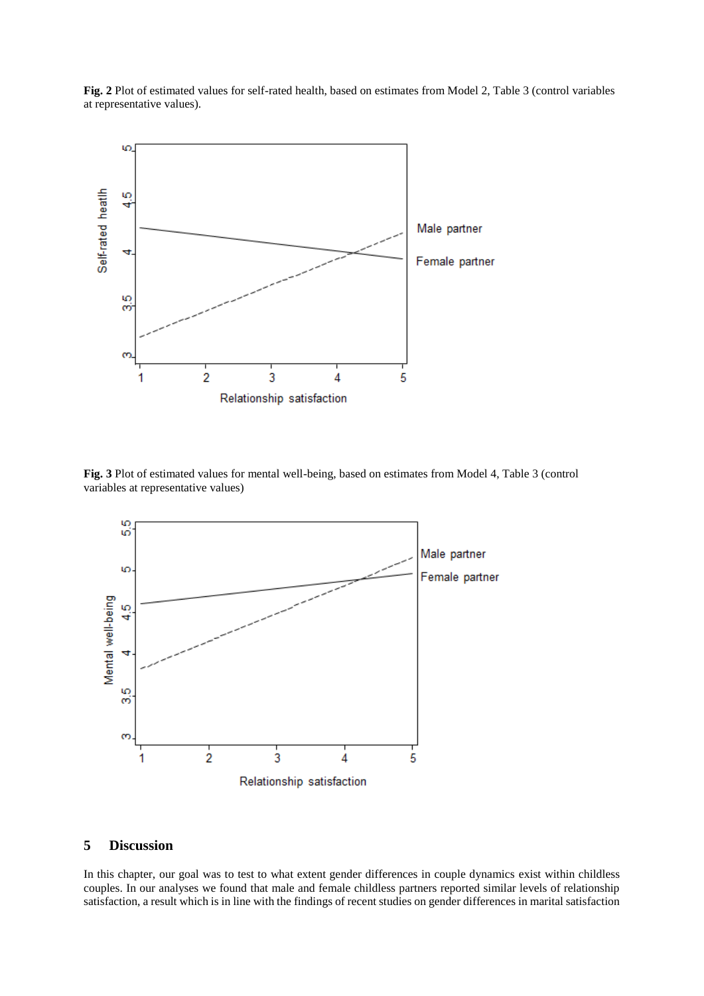



**Fig. 3** Plot of estimated values for mental well-being, based on estimates from Model 4, Table 3 (control variables at representative values)



## **5 Discussion**

In this chapter, our goal was to test to what extent gender differences in couple dynamics exist within childless couples. In our analyses we found that male and female childless partners reported similar levels of relationship satisfaction, a result which is in line with the findings of recent studies on gender differences in marital satisfaction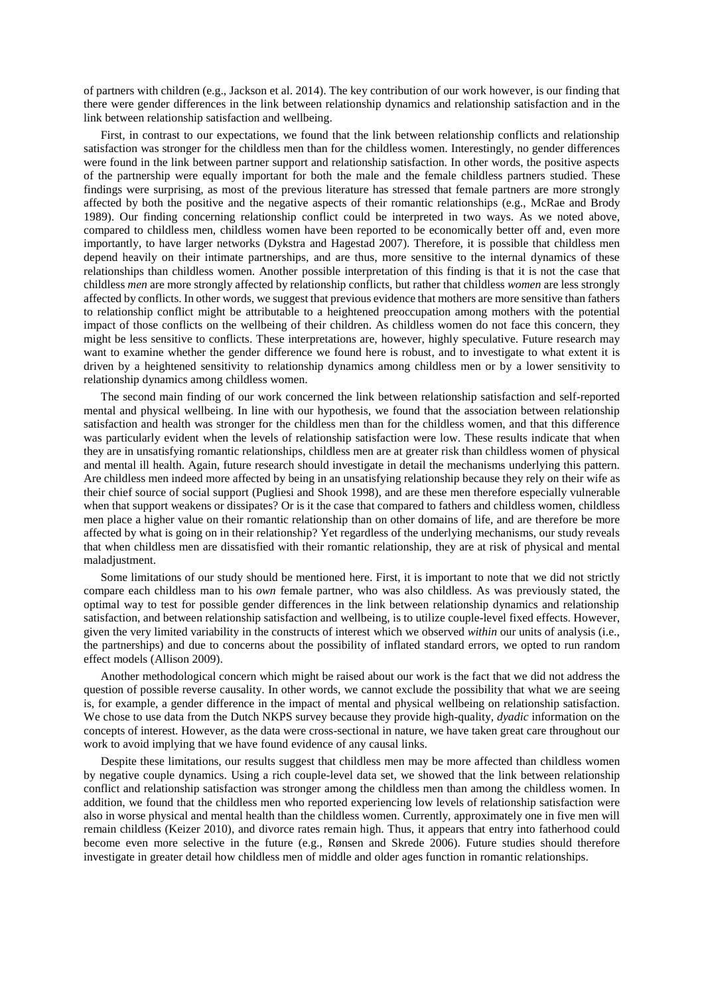of partners with children (e.g., Jackson et al. 2014). The key contribution of our work however, is our finding that there were gender differences in the link between relationship dynamics and relationship satisfaction and in the link between relationship satisfaction and wellbeing.

First, in contrast to our expectations, we found that the link between relationship conflicts and relationship satisfaction was stronger for the childless men than for the childless women. Interestingly, no gender differences were found in the link between partner support and relationship satisfaction. In other words, the positive aspects of the partnership were equally important for both the male and the female childless partners studied. These findings were surprising, as most of the previous literature has stressed that female partners are more strongly affected by both the positive and the negative aspects of their romantic relationships (e.g., McRae and Brody 1989). Our finding concerning relationship conflict could be interpreted in two ways. As we noted above, compared to childless men, childless women have been reported to be economically better off and, even more importantly, to have larger networks (Dykstra and Hagestad 2007). Therefore, it is possible that childless men depend heavily on their intimate partnerships, and are thus, more sensitive to the internal dynamics of these relationships than childless women. Another possible interpretation of this finding is that it is not the case that childless *men* are more strongly affected by relationship conflicts, but rather that childless *women* are less strongly affected by conflicts. In other words, we suggest that previous evidence that mothers are more sensitive than fathers to relationship conflict might be attributable to a heightened preoccupation among mothers with the potential impact of those conflicts on the wellbeing of their children. As childless women do not face this concern, they might be less sensitive to conflicts. These interpretations are, however, highly speculative. Future research may want to examine whether the gender difference we found here is robust, and to investigate to what extent it is driven by a heightened sensitivity to relationship dynamics among childless men or by a lower sensitivity to relationship dynamics among childless women.

The second main finding of our work concerned the link between relationship satisfaction and self-reported mental and physical wellbeing. In line with our hypothesis, we found that the association between relationship satisfaction and health was stronger for the childless men than for the childless women, and that this difference was particularly evident when the levels of relationship satisfaction were low. These results indicate that when they are in unsatisfying romantic relationships, childless men are at greater risk than childless women of physical and mental ill health. Again, future research should investigate in detail the mechanisms underlying this pattern. Are childless men indeed more affected by being in an unsatisfying relationship because they rely on their wife as their chief source of social support (Pugliesi and Shook 1998), and are these men therefore especially vulnerable when that support weakens or dissipates? Or is it the case that compared to fathers and childless women, childless men place a higher value on their romantic relationship than on other domains of life, and are therefore be more affected by what is going on in their relationship? Yet regardless of the underlying mechanisms, our study reveals that when childless men are dissatisfied with their romantic relationship, they are at risk of physical and mental maladjustment.

Some limitations of our study should be mentioned here. First, it is important to note that we did not strictly compare each childless man to his *own* female partner, who was also childless. As was previously stated, the optimal way to test for possible gender differences in the link between relationship dynamics and relationship satisfaction, and between relationship satisfaction and wellbeing, is to utilize couple-level fixed effects. However, given the very limited variability in the constructs of interest which we observed *within* our units of analysis (i.e., the partnerships) and due to concerns about the possibility of inflated standard errors, we opted to run random effect models (Allison 2009).

Another methodological concern which might be raised about our work is the fact that we did not address the question of possible reverse causality. In other words, we cannot exclude the possibility that what we are seeing is, for example, a gender difference in the impact of mental and physical wellbeing on relationship satisfaction. We chose to use data from the Dutch NKPS survey because they provide high-quality, *dyadic* information on the concepts of interest. However, as the data were cross-sectional in nature, we have taken great care throughout our work to avoid implying that we have found evidence of any causal links.

Despite these limitations, our results suggest that childless men may be more affected than childless women by negative couple dynamics. Using a rich couple-level data set, we showed that the link between relationship conflict and relationship satisfaction was stronger among the childless men than among the childless women. In addition, we found that the childless men who reported experiencing low levels of relationship satisfaction were also in worse physical and mental health than the childless women. Currently, approximately one in five men will remain childless (Keizer 2010), and divorce rates remain high. Thus, it appears that entry into fatherhood could become even more selective in the future (e.g., Rønsen and Skrede 2006). Future studies should therefore investigate in greater detail how childless men of middle and older ages function in romantic relationships.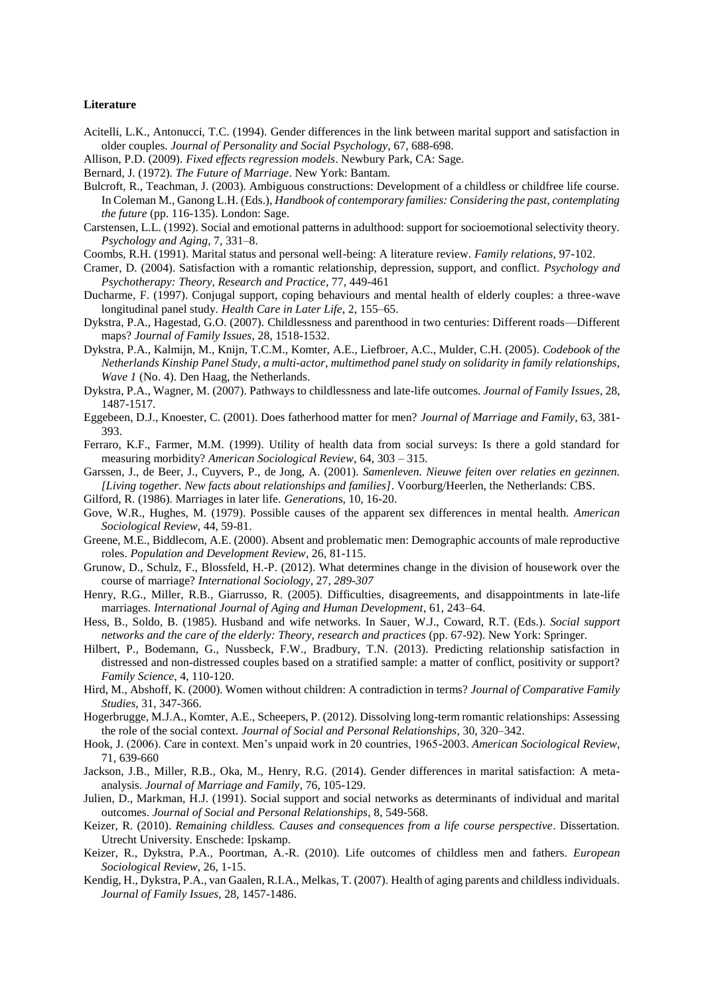#### **Literature**

- Acitelli, L.K., Antonucci, T.C. (1994). Gender differences in the link between marital support and satisfaction in older couples. *Journal of Personality and Social Psychology*, 67, 688-698.
- Allison, P.D. (2009). *Fixed effects regression models*. Newbury Park, CA: Sage.
- Bernard, J. (1972). *The Future of Marriage*. New York: Bantam.
- Bulcroft, R., Teachman, J. (2003). Ambiguous constructions: Development of a childless or childfree life course. In Coleman M., Ganong L.H. (Eds.), *Handbook of contemporary families: Considering the past, contemplating the future* (pp. 116-135). London: Sage.
- Carstensen, L.L. (1992). Social and emotional patterns in adulthood: support for socioemotional selectivity theory. *Psychology and Aging*, 7, 331–8.
- Coombs, R.H. (1991). Marital status and personal well-being: A literature review. *Family relations*, 97-102.
- Cramer, D. (2004). Satisfaction with a romantic relationship, depression, support, and conflict. *Psychology and Psychotherapy: Theory, Research and Practice*, 77, 449-461
- Ducharme, F. (1997). Conjugal support, coping behaviours and mental health of elderly couples: a three-wave longitudinal panel study. *Health Care in Later Life*, 2, 155–65.
- Dykstra, P.A., Hagestad, G.O. (2007). Childlessness and parenthood in two centuries: Different roads—Different maps? *Journal of Family Issues*, 28, 1518-1532.
- Dykstra, P.A., Kalmijn, M., Knijn, T.C.M., Komter, A.E., Liefbroer, A.C., Mulder, C.H. (2005). *Codebook of the Netherlands Kinship Panel Study, a multi-actor, multimethod panel study on solidarity in family relationships, Wave 1* (No. 4). Den Haag, the Netherlands.
- Dykstra, P.A., Wagner, M. (2007). Pathways to childlessness and late-life outcomes. *Journal of Family Issues*, 28, 1487-1517.
- Eggebeen, D.J., Knoester, C. (2001). Does fatherhood matter for men? *Journal of Marriage and Family*, 63, 381- 393.
- Ferraro, K.F., Farmer, M.M. (1999). Utility of health data from social surveys: Is there a gold standard for measuring morbidity? *American Sociological Review*, 64, 303 – 315.
- Garssen, J., de Beer, J., Cuyvers, P., de Jong, A. (2001). *Samenleven. Nieuwe feiten over relaties en gezinnen. [Living together. New facts about relationships and families]*. Voorburg/Heerlen, the Netherlands: CBS.
- Gilford, R. (1986). Marriages in later life. *Generation*s, 10, 16-20.
- Gove, W.R., Hughes, M. (1979). Possible causes of the apparent sex differences in mental health. *American Sociological Review*, 44, 59-81.
- Greene, M.E., Biddlecom, A.E. (2000). Absent and problematic men: Demographic accounts of male reproductive roles. *Population and Development Review*, 26, 81-115.
- Grunow, D., Schulz, F., Blossfeld, H.-P. (2012). What determines change in the division of housework over the course of marriage? *International Sociology*, 27, *289-307*
- Henry, R.G., Miller, R.B., Giarrusso, R. (2005). Difficulties, disagreements, and disappointments in late-life marriages. *International Journal of Aging and Human Development*, 61, 243–64.
- Hess, B., Soldo, B. (1985). Husband and wife networks. In Sauer, W.J., Coward, R.T. (Eds.). *Social support networks and the care of the elderly: Theory, research and practices* (pp. 67-92). New York: Springer.
- Hilbert, P., Bodemann, G., Nussbeck, F.W., Bradbury, T.N. (2013). Predicting relationship satisfaction in distressed and non-distressed couples based on a stratified sample: a matter of conflict, positivity or support? *Family Science*, 4, 110-120.
- Hird, M., Abshoff, K. (2000). Women without children: A contradiction in terms? *Journal of Comparative Family Studies*, 31, 347-366.
- Hogerbrugge, M.J.A., Komter, A.E., Scheepers, P. (2012). Dissolving long-term romantic relationships: Assessing the role of the social context. *Journal of Social and Personal Relationships*, 30, 320–342.
- Hook, J. (2006). Care in context. Men's unpaid work in 20 countries, 1965-2003. *American Sociological Review*, 71, 639-660
- Jackson, J.B., Miller, R.B., Oka, M., Henry, R.G. (2014). Gender differences in marital satisfaction: A metaanalysis. *Journal of Marriage and Family*, 76, 105-129.
- Julien, D., Markman, H.J. (1991). Social support and social networks as determinants of individual and marital outcomes. *Journal of Social and Personal Relationships*, 8, 549-568.
- Keizer, R. (2010). *Remaining childless. Causes and consequences from a life course perspective*. Dissertation. Utrecht University. Enschede: Ipskamp.
- Keizer, R., Dykstra, P.A., Poortman, A.-R. (2010). Life outcomes of childless men and fathers. *European Sociological Review*, 26, 1-15.
- Kendig, H., Dykstra, P.A., van Gaalen, R.I.A., Melkas, T. (2007). Health of aging parents and childless individuals. *Journal of Family Issues*, 28, 1457-1486.